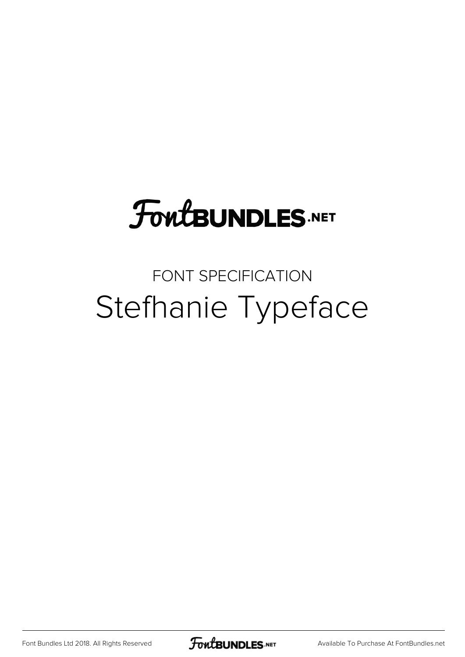## **FoutBUNDLES.NET**

## FONT SPECIFICATION Stefhanie Typeface

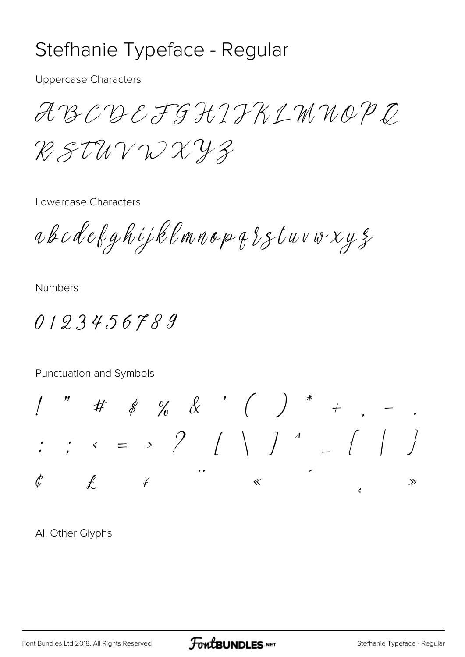## Stefhanie Typeface - Regular

**Uppercase Characters** 

ABCDEFGHIFKLMNOPD RSTUVWXYZ

Lowercase Characters

abcdekghijklmnopgsstuvwxyz

**Numbers** 

0123456789

Punctuation and Symbols

 $\begin{array}{ccccccccccccc} \text{''} & & \text{#} & & \text{\&} & \text{\&} & \text{\&} & \text{\&} & \text{\&} & \text{\&} & \text{\&} & \text{\&} & \text{\&} & \text{\&} & \text{\&} & \text{\&} & \text{\&} & \text{\&} & \text{\&} & \text{\&} & \text{\&} & \text{\&} & \text{\&} & \text{\&} & \text{\&} & \text{\&} & \text{\&} & \text{\&} & \text{\&} & \text{\&} & \text{\&} & \text{\&} & \text{\&} & \text{\&} & \text{\&} & \text{\&} & \text{\&$  $\frac{1}{2}$   $\left( \begin{array}{cc} 1 & 0 & 0 \\ 0 & 0 & 0 \\ 0 & 0 & 0 \\ 0 & 0 & 0 \\ 0 & 0 & 0 \\ 0 & 0 & 0 \\ 0 & 0 & 0 \\ 0 & 0 & 0 \\ 0 & 0 & 0 \\ 0 & 0 & 0 \\ 0 & 0 & 0 \\ 0 & 0 & 0 \\ 0 & 0 & 0 \\ 0 & 0 & 0 \\ 0 & 0 & 0 \\ 0 & 0 & 0 & 0 \\ 0 & 0 & 0 & 0 \\ 0 & 0 & 0 & 0 \\ 0 & 0 & 0 & 0 \\ 0 & 0 & 0 & 0 \\ 0 & 0$  $\langle\cdot|e\rangle$  $\mathcal{C}$  $\mathscr Y$  $\ll$  $\gg$ 

All Other Glyphs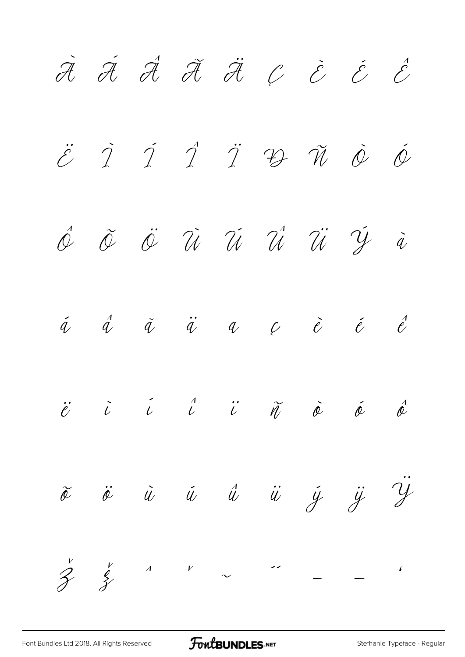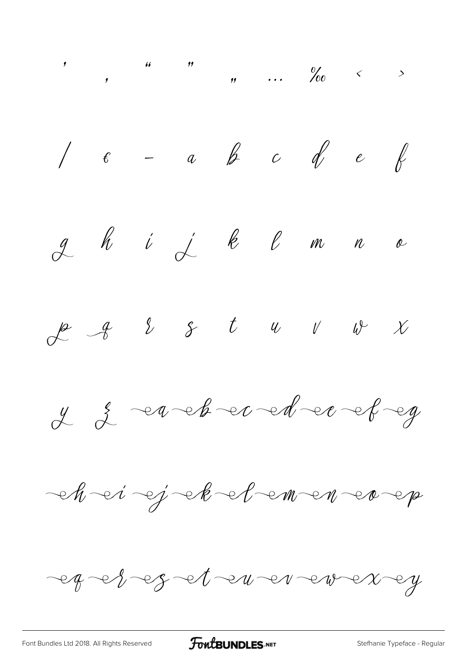$1 \epsilon - a$  b c d e  $\ell$ ghijkenne  $f$   $g$   $g$   $f$   $u$   $v$   $v$   $x$  $y = 2 - a - b - c - d - e - e - g$ ej ek el ementer  $\negthinspace\negthinspace\bullet\negthinspace\mathit{M}$   $\negthinspace\negthinspace\bullet\negthinspace\mathit{i}'$ eg et eg et en er er er eg

**FoutBUNDLES**.NET